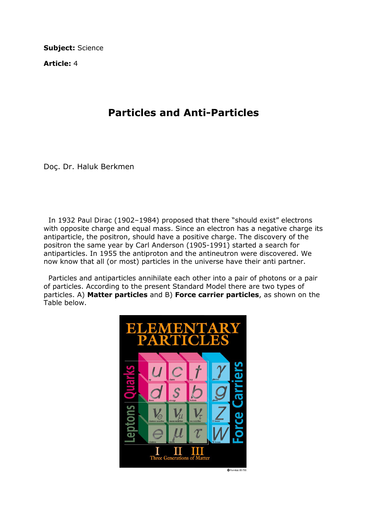Subject: Science

Article: 4

## Particles and Anti-Particles

Doç. Dr. Haluk Berkmen

 In 1932 Paul Dirac (1902–1984) proposed that there "should exist" electrons with opposite charge and equal mass. Since an electron has a negative charge its antiparticle, the positron, should have a positive charge. The discovery of the positron the same year by Carl Anderson (1905-1991) started a search for antiparticles. In 1955 the antiproton and the antineutron were discovered. We now know that all (or most) particles in the universe have their anti partner.

 Particles and antiparticles annihilate each other into a pair of photons or a pair of particles. According to the present Standard Model there are two types of particles. A) Matter particles and B) Force carrier particles, as shown on the Table below.

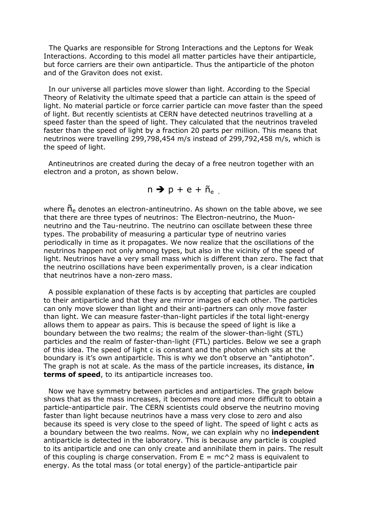The Quarks are responsible for Strong Interactions and the Leptons for Weak Interactions. According to this model all matter particles have their antiparticle, but force carriers are their own antiparticle. Thus the antiparticle of the photon and of the Graviton does not exist.

 In our universe all particles move slower than light. According to the Special Theory of Relativity the ultimate speed that a particle can attain is the speed of light. No material particle or force carrier particle can move faster than the speed of light. But recently scientists at CERN have detected neutrinos travelling at a speed faster than the speed of light. They calculated that the neutrinos traveled faster than the speed of light by a fraction 20 parts per million. This means that neutrinos were travelling 299,798,454 m/s instead of 299,792,458 m/s, which is the speed of light.

 Antineutrinos are created during the decay of a free neutron together with an electron and a proton, as shown below.

 $n \rightarrow p + e + \tilde{n}_{e}$ 

where  $\tilde{n}_e$  denotes an electron-antineutrino. As shown on the table above, we see that there are three types of neutrinos: The Electron-neutrino, the Muonneutrino and the Tau-neutrino. The neutrino can oscillate between these three types. The probability of measuring a particular type of neutrino varies periodically in time as it propagates. We now realize that the oscillations of the neutrinos happen not only among types, but also in the vicinity of the speed of light. Neutrinos have a very small mass which is different than zero. The fact that the neutrino oscillations have been experimentally proven, is a clear indication that neutrinos have a non-zero mass.

 A possible explanation of these facts is by accepting that particles are coupled to their antiparticle and that they are mirror images of each other. The particles can only move slower than light and their anti-partners can only move faster than light. We can measure faster-than-light particles if the total light-energy allows them to appear as pairs. This is because the speed of light is like a boundary between the two realms; the realm of the slower-than-light (STL) particles and the realm of faster-than-light (FTL) particles. Below we see a graph of this idea. The speed of light c is constant and the photon which sits at the boundary is it's own antiparticle. This is why we don't observe an "antiphoton". The graph is not at scale. As the mass of the particle increases, its distance, in terms of speed, to its antiparticle increases too.

 Now we have symmetry between particles and antiparticles. The graph below shows that as the mass increases, it becomes more and more difficult to obtain a particle-antiparticle pair. The CERN scientists could observe the neutrino moving faster than light because neutrinos have a mass very close to zero and also because its speed is very close to the speed of light. The speed of light c acts as a boundary between the two realms. Now, we can explain why no *independent* antiparticle is detected in the laboratory. This is because any particle is coupled to its antiparticle and one can only create and annihilate them in pairs. The result of this coupling is charge conservation. From  $E = mc^2$  mass is equivalent to energy. As the total mass (or total energy) of the particle-antiparticle pair